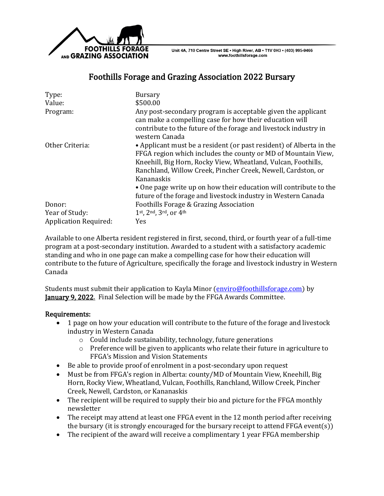

Unit 4A, 710 Centre Street SE - High River, AB - T1V 0H3 - (403) 995-9466 www.foothillsforage.com

## Foothills Forage and Grazing Association 2022 Bursary

| Type:<br>Value:              | <b>Bursary</b><br>\$500.00                                                                                                                                                                                                                                                                                                                                                                                                |
|------------------------------|---------------------------------------------------------------------------------------------------------------------------------------------------------------------------------------------------------------------------------------------------------------------------------------------------------------------------------------------------------------------------------------------------------------------------|
| Program:                     | Any post-secondary program is acceptable given the applicant<br>can make a compelling case for how their education will<br>contribute to the future of the forage and livestock industry in<br>western Canada                                                                                                                                                                                                             |
| Other Criteria:              | • Applicant must be a resident (or past resident) of Alberta in the<br>FFGA region which includes the county or MD of Mountain View,<br>Kneehill, Big Horn, Rocky View, Wheatland, Vulcan, Foothills,<br>Ranchland, Willow Creek, Pincher Creek, Newell, Cardston, or<br>Kananaskis<br>• One page write up on how their education will contribute to the<br>future of the forage and livestock industry in Western Canada |
| Donor:                       | Foothills Forage & Grazing Association                                                                                                                                                                                                                                                                                                                                                                                    |
| Year of Study:               | 1st, 2nd, 3rd, or 4th                                                                                                                                                                                                                                                                                                                                                                                                     |
| <b>Application Required:</b> | Yes                                                                                                                                                                                                                                                                                                                                                                                                                       |

Available to one Alberta resident registered in first, second, third, or fourth year of a full-time program at a post-secondary institution. Awarded to a student with a satisfactory academic standing and who in one page can make a compelling case for how their education will contribute to the future of Agriculture, specifically the forage and livestock industry in Western Canada

Students must submit their application to Kayla Minor [\(enviro@foothillsforage.com\)](mailto:enviro@foothillsforage.com) by January 9, 2022. Final Selection will be made by the FFGA Awards Committee.

## Requirements:

- 1 page on how your education will contribute to the future of the forage and livestock industry in Western Canada
	- o Could include sustainability, technology, future generations
	- o Preference will be given to applicants who relate their future in agriculture to FFGA's Mission and Vision Statements
- Be able to provide proof of enrolment in a post-secondary upon request
- Must be from FFGA's region in Alberta: county/MD of Mountain View, Kneehill, Big Horn, Rocky View, Wheatland, Vulcan, Foothills, Ranchland, Willow Creek, Pincher Creek, Newell, Cardston, or Kananaskis
- The recipient will be required to supply their bio and picture for the FFGA monthly newsletter
- The receipt may attend at least one FFGA event in the 12 month period after receiving the bursary (it is strongly encouraged for the bursary receipt to attend FFGA event(s))
- The recipient of the award will receive a complimentary 1 year FFGA membership